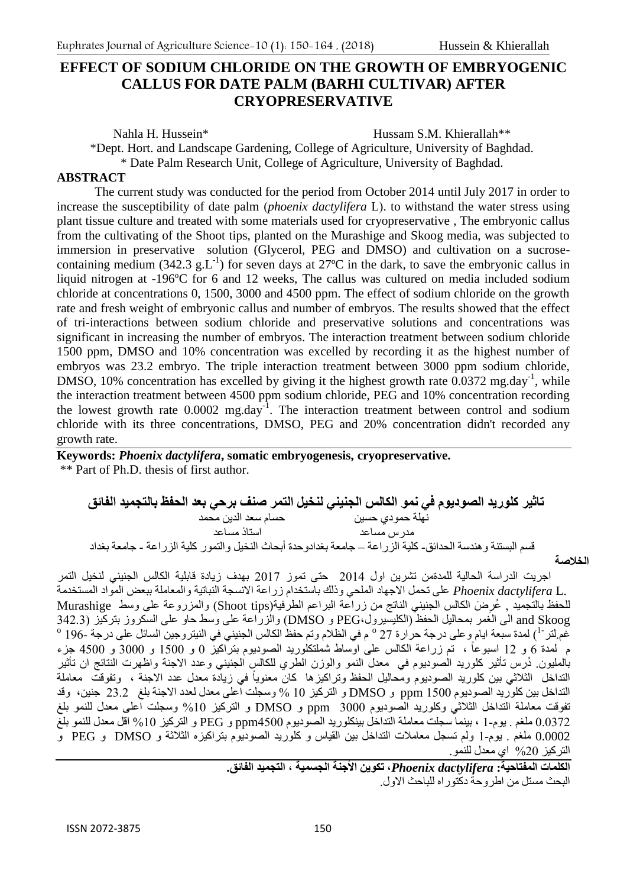# **EFFECT OF SODIUM CHLORIDE ON THE GROWTH OF EMBRYOGENIC CALLUS FOR DATE PALM (BARHI CULTIVAR) AFTER CRYOPRESERVATIVE**

Nahla H. Hussein\* The Hussam S.M. Khierallah\*\*

\*Dept. Hort. and Landscape Gardening, College of Agriculture, University of Baghdad.

\* Date Palm Research Unit, College of Agriculture, University of Baghdad.

#### **ABSTRACT**

The current study was conducted for the period from October 2014 until July 2017 in order to increase the susceptibility of date palm *(phoenix dactylifera L)*, to withstand the water stress using plant tissue culture and treated with some materials used for cryopreservative , The embryonic callus from the cultivating of the Shoot tips, planted on the Murashige and Skoog media, was subjected to immersion in preservative solution (Glycerol, PEG and DMSO) and cultivation on a sucrosecontaining medium (342.3  $g.L^{-1}$ ) for seven days at 27°C in the dark, to save the embryonic callus in liquid nitrogen at -196ºC for 6 and 12 weeks, The callus was cultured on media included sodium chloride at concentrations 0, 1500, 3000 and 4500 ppm. The effect of sodium chloride on the growth rate and fresh weight of embryonic callus and number of embryos. The results showed that the effect of tri-interactions between sodium chloride and preservative solutions and concentrations was significant in increasing the number of embryos. The interaction treatment between sodium chloride 1500 ppm, DMSO and 10% concentration was excelled by recording it as the highest number of embryos was 23.2 embryo. The triple interaction treatment between 3000 ppm sodium chloride, DMSO, 10% concentration has excelled by giving it the highest growth rate  $0.0372$  mg.day<sup>-1</sup>, while the interaction treatment between 4500 ppm sodium chloride, PEG and 10% concentration recording the lowest growth rate  $0.0002$  mg.day<sup>-1</sup>. The interaction treatment between control and sodium chloride with its three concentrations, DMSO, PEG and 20% concentration didn't recorded any growth rate.

**Keywords:** *Phoenix dactylifera***, somatic embryogenesis, cryopreservative.**  \*\* Part of Ph.D. thesis of first author.

**تاثير كلوريد الصوديوم في نمو الكالس الجنيني لنخيل التمر صنف برحي بعد الحفظ بالتجميد الفائق** نهلة حمودي حسين حسام سعد الدين محمد مدرس مساعد استاذ مساعد قسم البستنة وهندسة الحدائق- كلية الزراعة – جامعة بغدادوحدة أبحاث النخيل والتمور كلية الزراعة - جامعة بغداد

**الخالصة**

 اجريت الدراسة الحالية للمدةمن تشرين اول 4102 حتى تموز 4102 بهدف زيادة قابلية الكالس الجنيني لنخيل التمر .L *dactylifera Phoenix* على تحمل االجهاد الملحي وذلك باستخدام زراعة االنسجة النباتية والمعاملة ببعض المواد المستخدمة للحفظ بالتجميد ¸ عُرِضَ الكالس الجنيني الناتج من زراعة البراعم الطرفية(Shoot tips) والمزروعة على وسط Murashige ¦ Skoog and الى الغمر بمحاليل الحفظ )الكليسيرول،PEG و DMSO )والزراعة على وسط حاو على السكروز بتركيز )32443 غّم لتر <sup>-1</sup>) لمدة سبعة ايام و على درجة حرارة 27 ° م في الظلام وتم حفظ الكالس الجنيني في النيتروجين السائل على درجة -196 ° م ٰ لمدة 6 و 12 اسبوعاً ، تم زراعة الكالس على اوّساط شملتكلوريد الصوديوم بترّاكيزّ 0 و 1500 و 3000 و 4500 جزء بالمليون دُرس تأثير كلوريد الصوديوم في معدل النمو والوزن الطري للكالس الجنيني وعدد الاجنة واظهرت النتائج ان تأثير التداخل الثلاثي بين كلوريد الصوديوم ومُحاليل الحفظ وتراكيزها كان معنوياً في زيادة معدل عدد الاجنة ، وتفوقت ً معاملة التداخل بين كلوريد الصوديوم 0011 ppm و DMSO و التركيز 01 % وسجلت اعلى معدل لعدد االجنة بلغ 4344 جنين، وقد تفوقت معاملة التداخل الثالثي وكلوريد الصوديوم 3111 ppm و DMSO و التركيز %01 وسجلت اعلى معدل للنمو بلغ 141324 ملغم 4 يوم0- ، بينما سجلت معاملة التداخل بينكلوريد الصوديوم 2011ppm و PEG و التركيز %01 اقل معدل للنمو بلغ 0.0002 ملغم 4 يوم0- ولم تسجل معامالت التداخل بين القياس و كلوريد الصوديوم بتراكيزه الثالثة و DMSO و PEG و التركيز %41 اي معدل للنمو.

**الكلمات المفتاحية:** *dactylifera Phoenix***، تكوين األجنة الجسمية ، التجميد الفائق.**  البحث مستل من اطر وحة دكتوراه للباحث الاول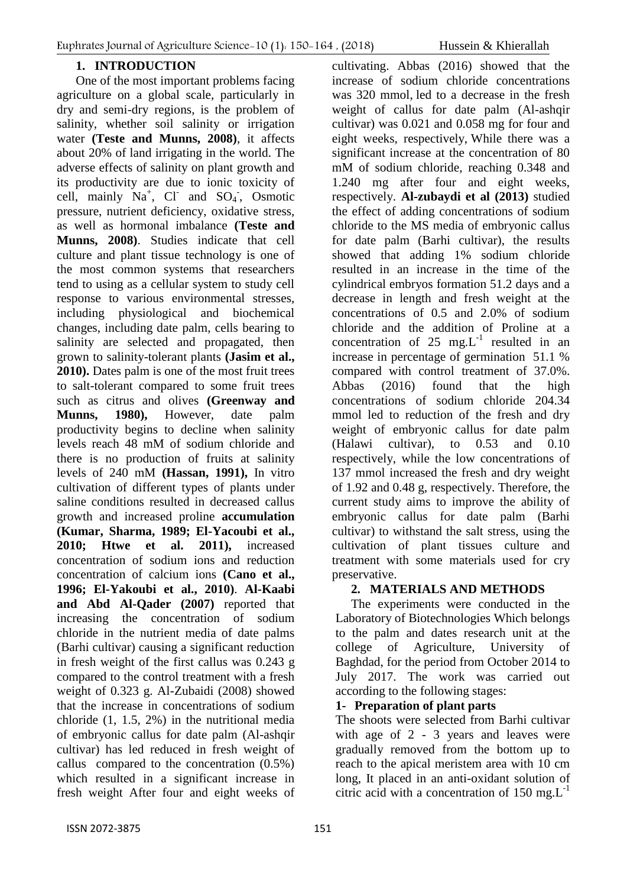## **1. INTRODUCTION**

One of the most important problems facing agriculture on a global scale, particularly in dry and semi-dry regions, is the problem of salinity, whether soil salinity or irrigation water **(Teste and Munns, 2008)**, it affects about 20% of land irrigating in the world. The adverse effects of salinity on plant growth and its productivity are due to ionic toxicity of cell, mainly  $Na^+$ , Cl and  $SO_4$ , Osmotic pressure, nutrient deficiency, oxidative stress, as well as hormonal imbalance **(Teste and Munns, 2008)**. Studies indicate that cell culture and plant tissue technology is one of the most common systems that researchers tend to using as a cellular system to study cell response to various environmental stresses, including physiological and biochemical changes, including date palm, cells bearing to salinity are selected and propagated, then grown to salinity-tolerant plants **(Jasim et al., 2010).** Dates palm is one of the most fruit trees to salt-tolerant compared to some fruit trees such as citrus and olives **(Greenway and Munns, 1980),** However, date palm productivity begins to decline when salinity levels reach 48 mM of sodium chloride and there is no production of fruits at salinity levels of 240 mM **(Hassan, 1991),** In vitro cultivation of different types of plants under saline conditions resulted in decreased callus growth and increased proline **accumulation (Kumar, Sharma, 1989; El-Yacoubi et al., 2010; Htwe et al. 2011),** increased concentration of sodium ions and reduction concentration of calcium ions **(Cano et al., 1996; El-Yakoubi et al., 2010)**. **Al-Kaabi and Abd Al-Qader (2007)** reported that increasing the concentration of sodium chloride in the nutrient media of date palms (Barhi cultivar) causing a significant reduction in fresh weight of the first callus was 0.243 g compared to the control treatment with a fresh weight of 0.323 g. Al-Zubaidi (2008) showed that the increase in concentrations of sodium chloride (1, 1.5, 2%) in the nutritional media of embryonic callus for date palm (Al-ashqir cultivar) has led reduced in fresh weight of callus compared to the concentration (0.5%) which resulted in a significant increase in fresh weight After four and eight weeks of

cultivating. Abbas (2016) showed that the increase of sodium chloride concentrations was 320 mmol, led to a decrease in the fresh weight of callus for date palm (Al-ashqir cultivar) was 0.021 and 0.058 mg for four and eight weeks, respectively, While there was a significant increase at the concentration of 80 mM of sodium chloride, reaching 0.348 and 1.240 mg after four and eight weeks, respectively. **Al-zubaydi et al (2013)** studied the effect of adding concentrations of sodium chloride to the MS media of embryonic callus for date palm (Barhi cultivar), the results showed that adding 1% sodium chloride resulted in an increase in the time of the cylindrical embryos formation 51.2 days and a decrease in length and fresh weight at the concentrations of 0.5 and 2.0% of sodium chloride and the addition of Proline at a concentration of 25 mg. $L^{-1}$  resulted in an increase in percentage of germination 51.1 % compared with control treatment of 37.0%. Abbas (2016) found that the high concentrations of sodium chloride 204.34 mmol led to reduction of the fresh and dry weight of embryonic callus for date palm (Halawi cultivar), to 0.53 and 0.10 respectively, while the low concentrations of 137 mmol increased the fresh and dry weight of 1.92 and 0.48 g, respectively. Therefore, the current study aims to improve the ability of embryonic callus for date palm (Barhi cultivar) to withstand the salt stress, using the cultivation of plant tissues culture and treatment with some materials used for cry preservative.

### **2. MATERIALS AND METHODS**

The experiments were conducted in the Laboratory of Biotechnologies Which belongs to the palm and dates research unit at the college of Agriculture, University of Baghdad, for the period from October 2014 to July 2017. The work was carried out according to the following stages:

### **1- Preparation of plant parts**

The shoots were selected from Barhi cultivar with age of 2 - 3 years and leaves were gradually removed from the bottom up to reach to the apical meristem area with 10 cm long, It placed in an anti-oxidant solution of citric acid with a concentration of  $150 \text{ mg}$ . L<sup>-1</sup>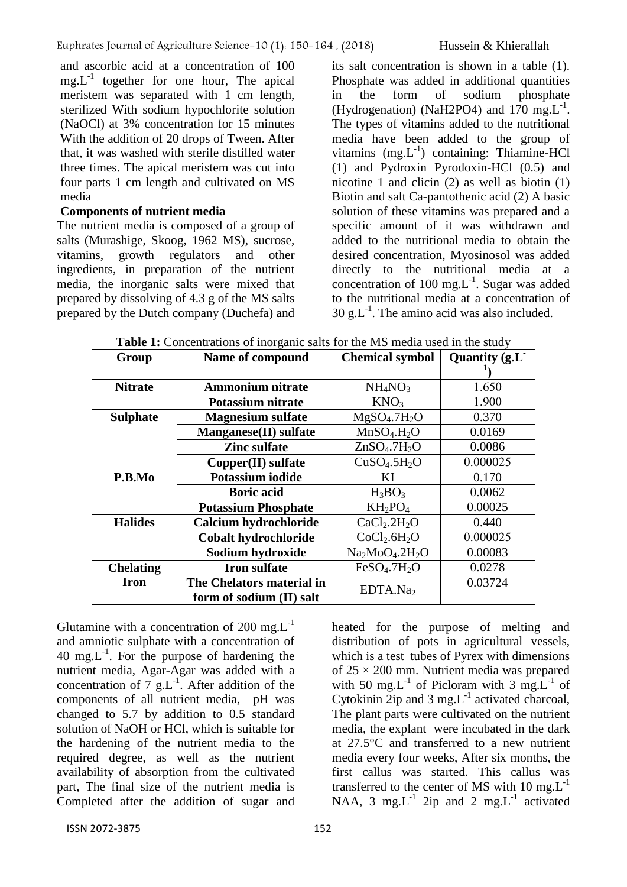and ascorbic acid at a concentration of 100  $mg.L^{-1}$  together for one hour, The apical meristem was separated with 1 cm length, sterilized With sodium hypochlorite solution (NaOCl) at 3% concentration for 15 minutes With the addition of 20 drops of Tween. After that, it was washed with sterile distilled water three times. The apical meristem was cut into four parts 1 cm length and cultivated on MS media

#### **Components of nutrient media**

The nutrient media is composed of a group of salts (Murashige, Skoog, 1962 MS), sucrose, vitamins, growth regulators and other ingredients, in preparation of the nutrient media, the inorganic salts were mixed that prepared by dissolving of 4.3 g of the MS salts prepared by the Dutch company (Duchefa) and

its salt concentration is shown in a table (1). Phosphate was added in additional quantities in the form of sodium phosphate (Hydrogenation) (NaH2PO4) and  $170 \text{ mg.L}^{-1}$ . The types of vitamins added to the nutritional media have been added to the group of vitamins (mg.L<sup>-1</sup>) containing: Thiamine-HCl (1) and Pydroxin Pyrodoxin-HCl (0.5) and nicotine 1 and clicin (2) as well as biotin (1) Biotin and salt Ca-pantothenic acid (2) A basic solution of these vitamins was prepared and a specific amount of it was withdrawn and added to the nutritional media to obtain the desired concentration, Myosinosol was added directly to the nutritional media at a concentration of 100 mg. $L^{-1}$ . Sugar was added to the nutritional media at a concentration of  $30 \text{ g.L}^{-1}$ . The amino acid was also included.

| Group            | Name of compound           | <b>Chemical symbol</b>               | Quantity (g.L <sup>-</sup> |
|------------------|----------------------------|--------------------------------------|----------------------------|
|                  |                            |                                      |                            |
| <b>Nitrate</b>   | <b>Ammonium nitrate</b>    | NH <sub>4</sub> NO <sub>3</sub>      | 1.650                      |
|                  | Potassium nitrate          | KNO <sub>3</sub>                     | 1.900                      |
| <b>Sulphate</b>  | <b>Magnesium sulfate</b>   | MgSO <sub>4</sub> .7H <sub>2</sub> O | 0.370                      |
|                  | Manganese(II) sulfate      | MnSO <sub>4</sub> .H <sub>2</sub> O  | 0.0169                     |
|                  | <b>Zinc sulfate</b>        | ZnSO <sub>4</sub> .7H <sub>2</sub> O | 0.0086                     |
|                  | Copper(II) sulfate         | CuSO <sub>4</sub> .5H <sub>2</sub> O | 0.000025                   |
| P.B.Mo           | Potassium iodide           | KI                                   | 0.170                      |
|                  | <b>Boric acid</b>          | $H_3BO_3$                            | 0.0062                     |
|                  | <b>Potassium Phosphate</b> | $KH_2PO_4$                           | 0.00025                    |
| <b>Halides</b>   | Calcium hydrochloride      | CaCl <sub>2</sub> .2H <sub>2</sub> O | 0.440                      |
|                  | Cobalt hydrochloride       | CoCl <sub>2</sub> .6H <sub>2</sub> O | 0.000025                   |
|                  | Sodium hydroxide           | $Na2MoO4.2H2O$                       | 0.00083                    |
| <b>Chelating</b> | <b>Iron sulfate</b>        | FeSO <sub>4</sub> .7H <sub>2</sub> O | 0.0278                     |
| <b>Iron</b>      | The Chelators material in  | EDTA.Na <sub>2</sub>                 | 0.03724                    |
|                  | form of sodium (II) salt   |                                      |                            |

**Table 1:** Concentrations of inorganic salts for the MS media used in the study

Glutamine with a concentration of 200 mg. $L^{-1}$ and amniotic sulphate with a concentration of 40 mg. $L^{-1}$ . For the purpose of hardening the nutrient media, Agar-Agar was added with a concentration of  $7 \text{ g.L}^{-1}$ . After addition of the components of all nutrient media, pH was changed to 5.7 by addition to 0.5 standard solution of NaOH or HCl, which is suitable for the hardening of the nutrient media to the required degree, as well as the nutrient availability of absorption from the cultivated part, The final size of the nutrient media is Completed after the addition of sugar and heated for the purpose of melting and distribution of pots in agricultural vessels, which is a test tubes of Pyrex with dimensions of  $25 \times 200$  mm. Nutrient media was prepared with 50 mg.L<sup>-1</sup> of Picloram with 3 mg.L<sup>-1</sup> of Cytokinin  $2ip$  and 3 mg. $L^{-1}$  activated charcoal, The plant parts were cultivated on the nutrient media, the explant were incubated in the dark at 27.5°C and transferred to a new nutrient media every four weeks, After six months, the first callus was started. This callus was transferred to the center of MS with  $10 \text{ mg} L^{-1}$ NAA, 3 mg.L<sup>-1</sup> 2ip and 2 mg.L<sup>-1</sup> activated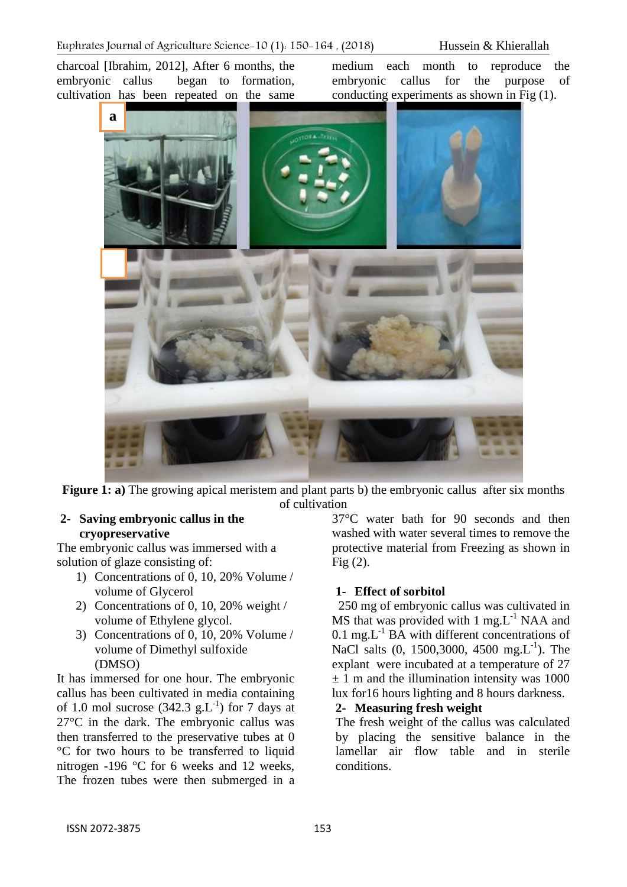charcoal [Ibrahim, 2012], After 6 months, the embryonic callus began to formation, cultivation has been repeated on the same

medium each month to reproduce the embryonic callus for the purpose of conducting experiments as shown in Fig (1).



**Figure 1: a**) The growing apical meristem and plant parts b) the embryonic callus after six months of cultivation

### **2- Saving embryonic callus in the cryopreservative**

The embryonic callus was immersed with a solution of glaze consisting of:

- 1) Concentrations of 0, 10, 20% Volume / volume of Glycerol
- 2) Concentrations of 0, 10, 20% weight / volume of Ethylene glycol.
- 3) Concentrations of 0, 10, 20% Volume / volume of Dimethyl sulfoxide (DMSO)

It has immersed for one hour. The embryonic callus has been cultivated in media containing of 1.0 mol sucrose  $(342.3 \text{ g.L}^{-1})$  for 7 days at 27°C in the dark. The embryonic callus was then transferred to the preservative tubes at 0 °C for two hours to be transferred to liquid nitrogen -196 °C for 6 weeks and 12 weeks, The frozen tubes were then submerged in a

37°C water bath for 90 seconds and then washed with water several times to remove the protective material from Freezing as shown in Fig (2).

## **1- Effect of sorbitol**

250 mg of embryonic callus was cultivated in  $\overline{MS}$  that was provided with 1 mg.L<sup>-1</sup> NAA and  $0.1 \text{ mg}$ . L<sup>-1</sup> BA with different concentrations of NaCl salts (0, 1500,3000, 4500 mg.L<sup>-1</sup>). The explant were incubated at a temperature of 27  $\pm$  1 m and the illumination intensity was 1000 lux for16 hours lighting and 8 hours darkness.

#### **2- Measuring fresh weight**

The fresh weight of the callus was calculated by placing the sensitive balance in the lamellar air flow table and in sterile conditions.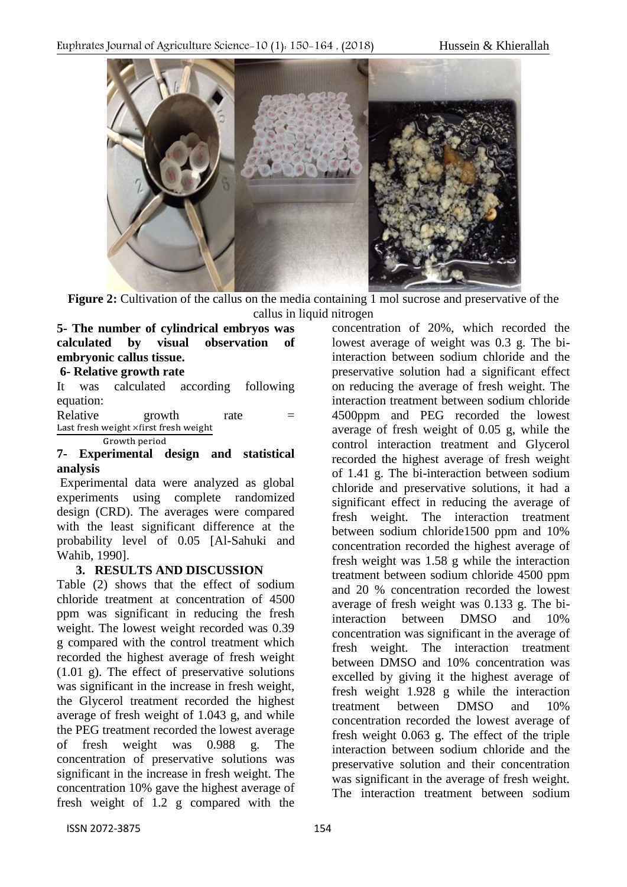

**Figure 2:** Cultivation of the callus on the media containing 1 mol sucrose and preservative of the callus in liquid nitrogen

## **5- The number of cylindrical embryos was calculated by visual observation of embryonic callus tissue.**

#### **6- Relative growth rate**

It was calculated according following equation:

Relative growth rate  $=$ Last fresh weight xfirst fresh weight Growth period

#### **7- Experimental design and statistical analysis**

Experimental data were analyzed as global experiments using complete randomized design (CRD). The averages were compared with the least significant difference at the probability level of 0.05 [Al-Sahuki and Wahib, 1990].

### **3. RESULTS AND DISCUSSION**

Table (2) shows that the effect of sodium chloride treatment at concentration of 4500 ppm was significant in reducing the fresh weight. The lowest weight recorded was 0.39 g compared with the control treatment which recorded the highest average of fresh weight (1.01 g). The effect of preservative solutions was significant in the increase in fresh weight, the Glycerol treatment recorded the highest average of fresh weight of 1.043 g, and while the PEG treatment recorded the lowest average of fresh weight was 0.988 g. The concentration of preservative solutions was significant in the increase in fresh weight. The concentration 10% gave the highest average of fresh weight of 1.2 g compared with the

concentration of 20%, which recorded the lowest average of weight was 0.3 g. The biinteraction between sodium chloride and the preservative solution had a significant effect on reducing the average of fresh weight. The interaction treatment between sodium chloride 4500ppm and PEG recorded the lowest average of fresh weight of 0.05 g, while the control interaction treatment and Glycerol recorded the highest average of fresh weight of 1.41 g. The bi-interaction between sodium chloride and preservative solutions, it had a significant effect in reducing the average of fresh weight. The interaction treatment between sodium chloride1500 ppm and 10% concentration recorded the highest average of fresh weight was 1.58 g while the interaction treatment between sodium chloride 4500 ppm and 20 % concentration recorded the lowest average of fresh weight was 0.133 g. The biinteraction between DMSO and 10% concentration was significant in the average of fresh weight. The interaction treatment between DMSO and 10% concentration was excelled by giving it the highest average of fresh weight 1.928 g while the interaction treatment between DMSO and 10% concentration recorded the lowest average of fresh weight 0.063 g. The effect of the triple interaction between sodium chloride and the preservative solution and their concentration was significant in the average of fresh weight. The interaction treatment between sodium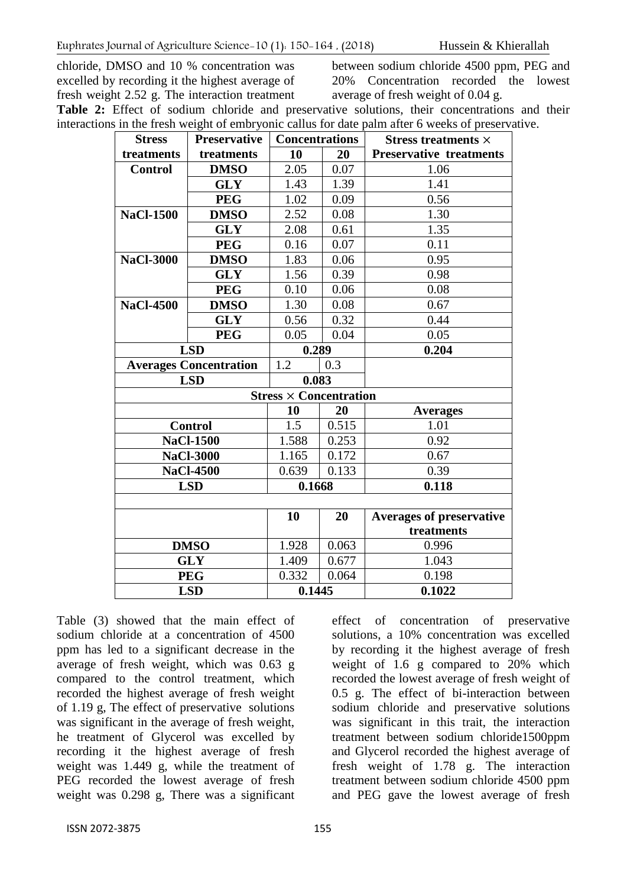chloride, DMSO and 10 % concentration was excelled by recording it the highest average of fresh weight 2.52 g. The interaction treatment between sodium chloride 4500 ppm, PEG and 20% Concentration recorded the lowest average of fresh weight of 0.04 g.

**Table 2:** Effect of sodium chloride and preservative solutions, their concentrations and their interactions in the fresh weight of embryonic callus for date palm after 6 weeks of preservative.

| <b>Stress</b>                 | <b>Preservative</b> | <b>Concentrations</b> |       | Stress treatments $\times$      |
|-------------------------------|---------------------|-----------------------|-------|---------------------------------|
| treatments                    | treatments          | 10                    | 20    | <b>Preservative treatments</b>  |
| <b>Control</b>                | <b>DMSO</b>         | 2.05                  | 0.07  | 1.06                            |
|                               | <b>GLY</b>          | 1.43                  | 1.39  | 1.41                            |
|                               | <b>PEG</b>          | 1.02                  | 0.09  | 0.56                            |
| <b>NaCl-1500</b>              | <b>DMSO</b>         | 2.52                  | 0.08  | 1.30                            |
|                               | <b>GLY</b>          | 2.08                  | 0.61  | 1.35                            |
|                               | <b>PEG</b>          | 0.16                  | 0.07  | 0.11                            |
| <b>NaCl-3000</b>              | <b>DMSO</b>         | 1.83                  | 0.06  | 0.95                            |
|                               | <b>GLY</b>          | 1.56                  | 0.39  | 0.98                            |
|                               | <b>PEG</b>          | 0.10                  | 0.06  | 0.08                            |
| <b>NaCl-4500</b>              | <b>DMSO</b>         | 1.30                  | 0.08  | 0.67                            |
|                               | <b>GLY</b>          | 0.56                  | 0.32  | 0.44                            |
|                               | <b>PEG</b>          | 0.05                  | 0.04  | 0.05                            |
|                               | <b>LSD</b>          | 0.289                 |       | 0.204                           |
| <b>Averages Concentration</b> |                     | 1.2                   | 0.3   |                                 |
| <b>LSD</b>                    |                     | 0.083                 |       |                                 |
| $Stress \times Concentration$ |                     |                       |       |                                 |
|                               |                     | 10                    | 20    | <b>Averages</b>                 |
| <b>Control</b>                |                     | $1.\overline{5}$      | 0.515 | 1.01                            |
|                               | <b>NaCl-1500</b>    | 1.588                 | 0.253 | 0.92                            |
|                               | <b>NaCl-3000</b>    | 1.165                 | 0.172 | 0.67                            |
|                               | <b>NaCl-4500</b>    | 0.639                 | 0.133 | 0.39                            |
|                               | <b>LSD</b>          | 0.1668                |       | 0.118                           |
|                               |                     |                       |       |                                 |
|                               |                     | 10                    | 20    | <b>Averages of preservative</b> |
|                               |                     |                       |       | treatments                      |
|                               | <b>DMSO</b>         | 1.928                 | 0.063 | 0.996                           |
| <b>GLY</b>                    |                     | 1.409                 | 0.677 | 1.043                           |
| <b>PEG</b>                    |                     | 0.332                 | 0.064 | 0.198                           |
| <b>LSD</b>                    |                     | 0.1445                |       | 0.1022                          |

Table (3) showed that the main effect of sodium chloride at a concentration of 4500 ppm has led to a significant decrease in the average of fresh weight, which was 0.63 g compared to the control treatment, which recorded the highest average of fresh weight of 1.19 g, The effect of preservative solutions was significant in the average of fresh weight, he treatment of Glycerol was excelled by recording it the highest average of fresh weight was 1.449 g, while the treatment of PEG recorded the lowest average of fresh weight was 0.298 g, There was a significant effect of concentration of preservative solutions, a 10% concentration was excelled by recording it the highest average of fresh weight of 1.6 g compared to 20% which recorded the lowest average of fresh weight of 0.5 g. The effect of bi-interaction between sodium chloride and preservative solutions was significant in this trait, the interaction treatment between sodium chloride1500ppm and Glycerol recorded the highest average of fresh weight of 1.78 g. The interaction treatment between sodium chloride 4500 ppm and PEG gave the lowest average of fresh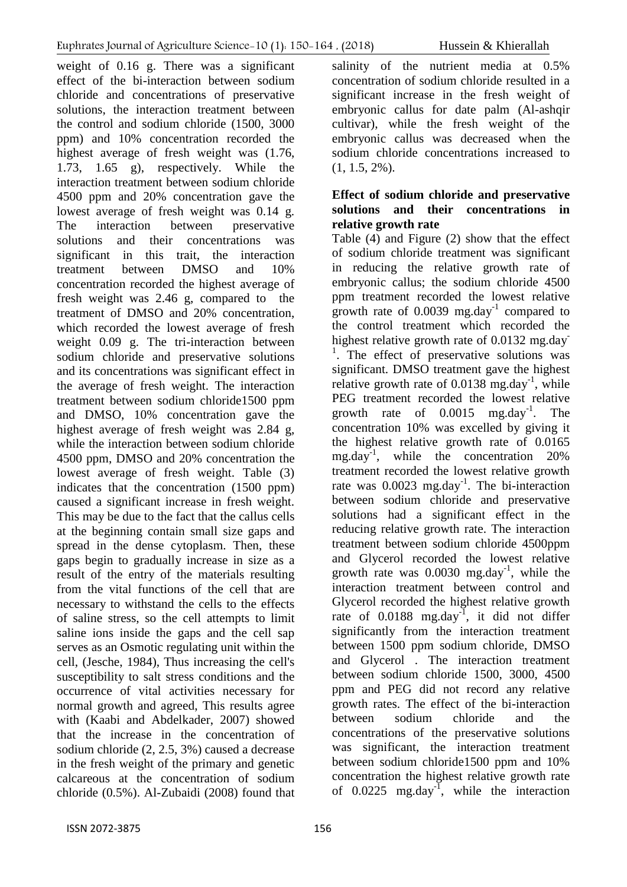weight of 0.16 g. There was a significant effect of the bi-interaction between sodium chloride and concentrations of preservative solutions, the interaction treatment between the control and sodium chloride (1500, 3000 ppm) and 10% concentration recorded the highest average of fresh weight was (1.76, 1.73, 1.65 g), respectively. While the interaction treatment between sodium chloride 4500 ppm and 20% concentration gave the lowest average of fresh weight was 0.14 g. The interaction between preservative solutions and their concentrations was significant in this trait, the interaction treatment between DMSO and 10% concentration recorded the highest average of fresh weight was 2.46 g, compared to the treatment of DMSO and 20% concentration, which recorded the lowest average of fresh weight 0.09 g. The tri-interaction between sodium chloride and preservative solutions and its concentrations was significant effect in the average of fresh weight. The interaction treatment between sodium chloride1500 ppm and DMSO, 10% concentration gave the highest average of fresh weight was 2.84 g, while the interaction between sodium chloride 4500 ppm, DMSO and 20% concentration the lowest average of fresh weight. Table (3) indicates that the concentration (1500 ppm) caused a significant increase in fresh weight. This may be due to the fact that the callus cells at the beginning contain small size gaps and spread in the dense cytoplasm. Then, these gaps begin to gradually increase in size as a result of the entry of the materials resulting from the vital functions of the cell that are necessary to withstand the cells to the effects of saline stress, so the cell attempts to limit saline ions inside the gaps and the cell sap serves as an Osmotic regulating unit within the cell, (Jesche, 1984), Thus increasing the cell's susceptibility to salt stress conditions and the occurrence of vital activities necessary for normal growth and agreed, This results agree

with (Kaabi and Abdelkader, 2007) showed that the increase in the concentration of sodium chloride (2, 2.5, 3%) caused a decrease in the fresh weight of the primary and genetic calcareous at the concentration of sodium chloride (0.5%). Al-Zubaidi (2008) found that

salinity of the nutrient media at 0.5% concentration of sodium chloride resulted in a significant increase in the fresh weight of embryonic callus for date palm (Al-ashqir cultivar), while the fresh weight of the embryonic callus was decreased when the sodium chloride concentrations increased to  $(1, 1.5, 2\%)$ .

# **Effect of sodium chloride and preservative solutions and their concentrations in relative growth rate**

Table (4) and Figure (2) show that the effect of sodium chloride treatment was significant in reducing the relative growth rate of embryonic callus; the sodium chloride 4500 ppm treatment recorded the lowest relative growth rate of  $0.0039$  mg.day<sup>-1</sup> compared to the control treatment which recorded the highest relative growth rate of 0.0132 mg.day <sup>1</sup>. The effect of preservative solutions was significant. DMSO treatment gave the highest relative growth rate of  $0.0138$  mg.day<sup>-1</sup>, while PEG treatment recorded the lowest relative growth rate of  $0.0015$  mg.day<sup>-1</sup>. The concentration 10% was excelled by giving it the highest relative growth rate of 0.0165 mg.day-1 , while the concentration 20% treatment recorded the lowest relative growth rate was  $0.0023$  mg.day<sup>-1</sup>. The bi-interaction between sodium chloride and preservative solutions had a significant effect in the reducing relative growth rate. The interaction treatment between sodium chloride 4500ppm and Glycerol recorded the lowest relative growth rate was  $0.0030$  mg.day<sup>-1</sup>, while the interaction treatment between control and Glycerol recorded the highest relative growth rate of 0.0188 mg.day<sup>-1</sup>, it did not differ significantly from the interaction treatment between 1500 ppm sodium chloride, DMSO and Glycerol . The interaction treatment between sodium chloride 1500, 3000, 4500 ppm and PEG did not record any relative growth rates. The effect of the bi-interaction between sodium chloride and the concentrations of the preservative solutions was significant, the interaction treatment between sodium chloride1500 ppm and 10% concentration the highest relative growth rate of  $0.0225$  mg.day<sup>-1</sup>, while the interaction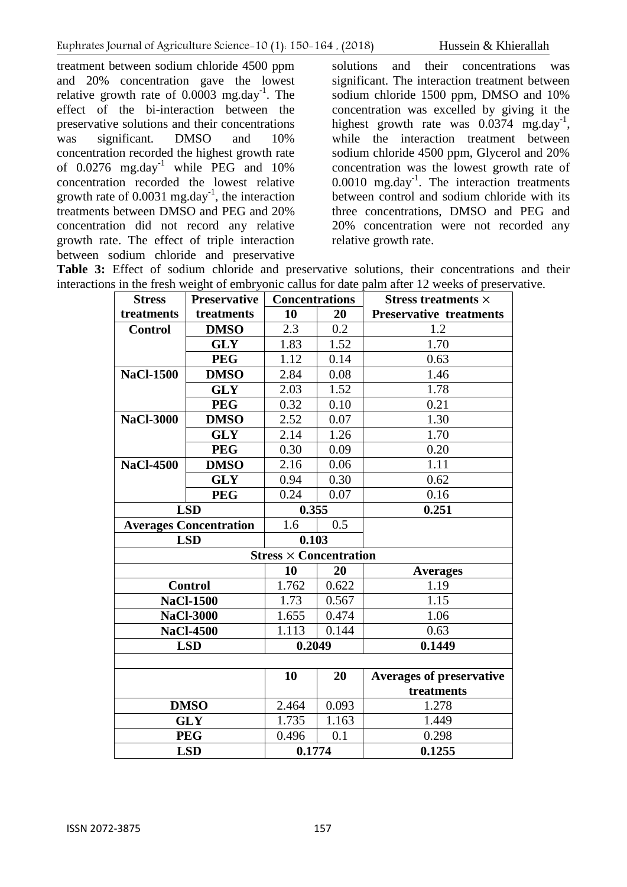treatment between sodium chloride 4500 ppm and 20% concentration gave the lowest relative growth rate of  $0.0003$  mg.day<sup>-1</sup>. The effect of the bi-interaction between the preservative solutions and their concentrations was significant. DMSO and 10% concentration recorded the highest growth rate of  $0.0276$  mg.day<sup>-1</sup> while PEG and  $10\%$ concentration recorded the lowest relative growth rate of  $0.0031$  mg.day<sup>-1</sup>, the interaction treatments between DMSO and PEG and 20% concentration did not record any relative growth rate. The effect of triple interaction between sodium chloride and preservative

solutions and their concentrations was significant. The interaction treatment between sodium chloride 1500 ppm, DMSO and 10% concentration was excelled by giving it the highest growth rate was  $0.0374$  mg.day<sup>-1</sup>, while the interaction treatment between sodium chloride 4500 ppm, Glycerol and 20% concentration was the lowest growth rate of  $0.0010$  mg.day<sup>-1</sup>. The interaction treatments between control and sodium chloride with its three concentrations, DMSO and PEG and 20% concentration were not recorded any relative growth rate.

**Table 3:** Effect of sodium chloride and preservative solutions, their concentrations and their interactions in the fresh weight of embryonic callus for date palm after 12 weeks of preservative.

| <b>Stress</b>                 | <b>Preservative</b> | <b>Concentrations</b>         |       | In the fresh weight of emoryonic carrus for date paint after 12 weeks of preser<br>Stress treatments $\times$ |
|-------------------------------|---------------------|-------------------------------|-------|---------------------------------------------------------------------------------------------------------------|
| treatments                    | treatments          | 10                            | 20    | <b>Preservative treatments</b>                                                                                |
| <b>Control</b>                | <b>DMSO</b>         | 2.3                           | 0.2   | 1.2                                                                                                           |
|                               | <b>GLY</b>          | 1.83                          | 1.52  | 1.70                                                                                                          |
|                               | <b>PEG</b>          | 1.12                          | 0.14  | 0.63                                                                                                          |
| <b>NaCl-1500</b>              | <b>DMSO</b>         | 2.84                          | 0.08  | 1.46                                                                                                          |
|                               | <b>GLY</b>          | 2.03                          | 1.52  | 1.78                                                                                                          |
|                               | <b>PEG</b>          | 0.32                          | 0.10  | 0.21                                                                                                          |
| <b>NaCl-3000</b>              | <b>DMSO</b>         | 2.52                          | 0.07  | 1.30                                                                                                          |
|                               | <b>GLY</b>          | 2.14                          | 1.26  | 1.70                                                                                                          |
|                               | <b>PEG</b>          | 0.30                          | 0.09  | 0.20                                                                                                          |
| <b>NaCl-4500</b>              | <b>DMSO</b>         | 2.16                          | 0.06  | 1.11                                                                                                          |
|                               | <b>GLY</b>          | 0.94                          | 0.30  | 0.62                                                                                                          |
|                               | <b>PEG</b>          | 0.24                          | 0.07  | 0.16                                                                                                          |
| <b>LSD</b>                    |                     | 0.355                         |       | 0.251                                                                                                         |
| <b>Averages Concentration</b> |                     | 1.6                           | 0.5   |                                                                                                               |
| <b>LSD</b>                    |                     | 0.103                         |       |                                                                                                               |
|                               |                     | $Stress \times Concentration$ |       |                                                                                                               |
|                               |                     | 10                            | 20    | <b>Averages</b>                                                                                               |
|                               | <b>Control</b>      | 1.762                         | 0.622 | 1.19                                                                                                          |
|                               | <b>NaCl-1500</b>    | 1.73                          | 0.567 | 1.15                                                                                                          |
|                               | <b>NaCl-3000</b>    | 1.655                         | 0.474 | 1.06                                                                                                          |
|                               | <b>NaCl-4500</b>    | 1.113                         | 0.144 | 0.63                                                                                                          |
|                               | <b>LSD</b>          | 0.2049                        |       | 0.1449                                                                                                        |
|                               |                     |                               |       |                                                                                                               |
|                               |                     | 10                            | 20    | <b>Averages of preservative</b>                                                                               |
|                               |                     |                               |       | treatments                                                                                                    |
|                               | <b>DMSO</b>         | 2.464                         | 0.093 | 1.278                                                                                                         |
| <b>GLY</b>                    |                     | 1.735                         | 1.163 | 1.449                                                                                                         |
| <b>PEG</b>                    |                     | 0.496                         | 0.1   | 0.298                                                                                                         |
| <b>LSD</b>                    |                     | 0.1774                        |       | 0.1255                                                                                                        |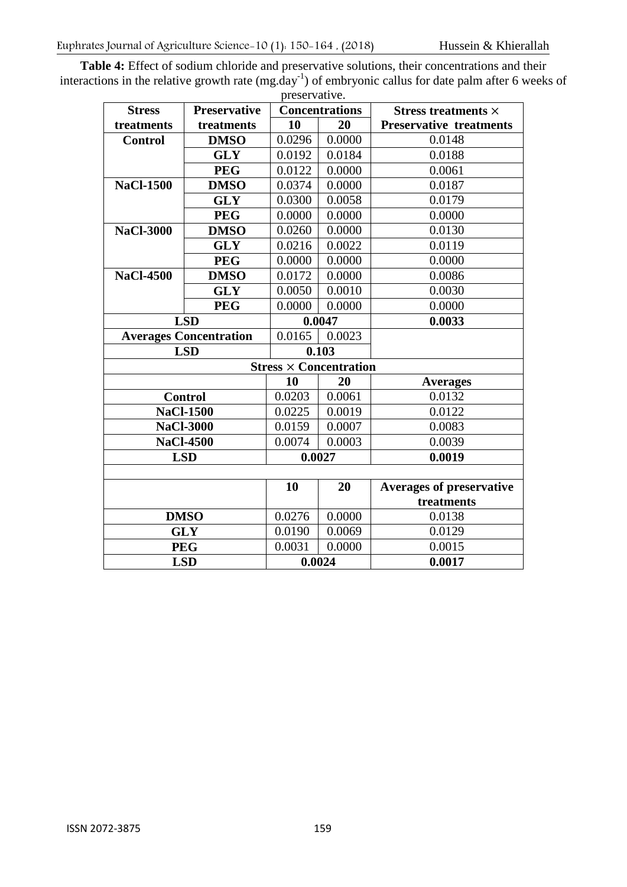**Table 4:** Effect of sodium chloride and preservative solutions, their concentrations and their interactions in the relative growth rate  $(mg.day^{-1})$  of embryonic callus for date palm after 6 weeks of preservative.

| <b>Stress</b>                 | <b>Preservative</b> | preservative.<br><b>Concentrations</b> | Stress treatments $\times$ |                                 |
|-------------------------------|---------------------|----------------------------------------|----------------------------|---------------------------------|
| treatments                    | treatments          | 10                                     | 20                         | <b>Preservative treatments</b>  |
| <b>Control</b>                | <b>DMSO</b>         | 0.0296                                 | 0.0000                     | 0.0148                          |
|                               | <b>GLY</b>          | 0.0192                                 | 0.0184                     | 0.0188                          |
|                               | <b>PEG</b>          | 0.0122                                 | 0.0000                     | 0.0061                          |
| <b>NaCl-1500</b>              | <b>DMSO</b>         | 0.0374                                 | 0.0000                     | 0.0187                          |
|                               | <b>GLY</b>          | 0.0300                                 | 0.0058                     | 0.0179                          |
|                               | <b>PEG</b>          | 0.0000                                 | 0.0000                     | 0.0000                          |
| <b>NaCl-3000</b>              | <b>DMSO</b>         | 0.0260                                 | 0.0000                     | 0.0130                          |
|                               | <b>GLY</b>          | 0.0216                                 | 0.0022                     | 0.0119                          |
|                               | <b>PEG</b>          | 0.0000                                 | 0.0000                     | 0.0000                          |
| <b>NaCl-4500</b>              | <b>DMSO</b>         | 0.0172                                 | 0.0000                     | 0.0086                          |
|                               | <b>GLY</b>          | 0.0050                                 | 0.0010                     | 0.0030                          |
|                               | <b>PEG</b>          | 0.0000                                 | 0.0000                     | 0.0000                          |
|                               | <b>LSD</b>          | 0.0047                                 |                            | 0.0033                          |
| <b>Averages Concentration</b> |                     | 0.0165                                 | 0.0023                     |                                 |
| <b>LSD</b>                    |                     |                                        | 0.103                      |                                 |
| $Stress \times Concentration$ |                     |                                        |                            |                                 |
|                               |                     | 10                                     | 20                         | <b>Averages</b>                 |
| <b>Control</b>                |                     | 0.0203                                 | 0.0061                     | 0.0132                          |
|                               | <b>NaCl-1500</b>    | 0.0225                                 | 0.0019                     | 0.0122                          |
|                               | <b>NaCl-3000</b>    | 0.0159                                 | 0.0007                     | 0.0083                          |
|                               | <b>NaCl-4500</b>    | 0.0074                                 | 0.0003                     | 0.0039                          |
|                               | <b>LSD</b>          | 0.0027                                 |                            | 0.0019                          |
|                               |                     |                                        |                            |                                 |
|                               |                     | 10                                     | 20                         | <b>Averages of preservative</b> |
|                               |                     |                                        |                            | treatments                      |
| <b>DMSO</b>                   |                     | 0.0276                                 | 0.0000                     | 0.0138                          |
| <b>GLY</b>                    |                     | 0.0190                                 | 0.0069                     | 0.0129                          |
| <b>PEG</b>                    |                     | 0.0031                                 | 0.0000                     | 0.0015                          |
| <b>LSD</b>                    |                     | 0.0024                                 |                            | 0.0017                          |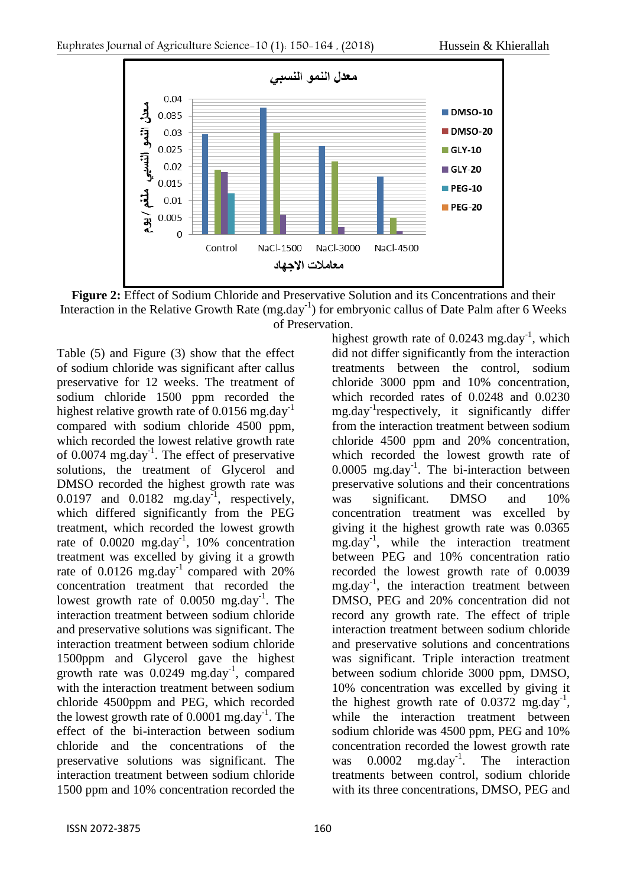

**Figure 2:** Effect of Sodium Chloride and Preservative Solution and its Concentrations and their Interaction in the Relative Growth Rate (mg.day<sup>-1</sup>) for embryonic callus of Date Palm after 6 Weeks of Preservation.

Table (5) and Figure (3) show that the effect of sodium chloride was significant after callus preservative for 12 weeks. The treatment of sodium chloride 1500 ppm recorded the highest relative growth rate of  $0.0156$  mg.day<sup>-1</sup> compared with sodium chloride 4500 ppm, which recorded the lowest relative growth rate of 0.0074 mg.day<sup>-1</sup>. The effect of preservative solutions, the treatment of Glycerol and DMSO recorded the highest growth rate was  $0.0197$  and  $0.0182$  mg.day<sup>-1</sup>, respectively, which differed significantly from the PEG treatment, which recorded the lowest growth rate of  $0.0020$  mg.day<sup>-1</sup>, 10% concentration treatment was excelled by giving it a growth rate of  $0.0126$  mg.day<sup>-1</sup> compared with 20% concentration treatment that recorded the lowest growth rate of  $0.0050$  mg.day<sup>-1</sup>. The interaction treatment between sodium chloride and preservative solutions was significant. The interaction treatment between sodium chloride 1500ppm and Glycerol gave the highest growth rate was 0.0249 mg.day<sup>-1</sup>, compared with the interaction treatment between sodium chloride 4500ppm and PEG, which recorded the lowest growth rate of  $0.0001$  mg.day<sup>-1</sup>. The effect of the bi-interaction between sodium chloride and the concentrations of the preservative solutions was significant. The interaction treatment between sodium chloride 1500 ppm and 10% concentration recorded the

highest growth rate of  $0.0243$  mg.day<sup>-1</sup>, which did not differ significantly from the interaction treatments between the control, sodium chloride 3000 ppm and 10% concentration, which recorded rates of 0.0248 and 0.0230 mg.day-1 respectively, it significantly differ from the interaction treatment between sodium chloride 4500 ppm and 20% concentration, which recorded the lowest growth rate of  $0.0005$  mg.day<sup>-1</sup>. The bi-interaction between preservative solutions and their concentrations was significant. DMSO and 10% concentration treatment was excelled by giving it the highest growth rate was 0.0365 mg.day-1 , while the interaction treatment between PEG and 10% concentration ratio recorded the lowest growth rate of 0.0039 mg.day<sup>-1</sup>, the interaction treatment between DMSO, PEG and 20% concentration did not record any growth rate. The effect of triple interaction treatment between sodium chloride and preservative solutions and concentrations was significant. Triple interaction treatment between sodium chloride 3000 ppm, DMSO, 10% concentration was excelled by giving it the highest growth rate of  $0.0372 \text{ mg/day}^{-1}$ , while the interaction treatment between sodium chloride was 4500 ppm, PEG and 10% concentration recorded the lowest growth rate was  $0.0002$  mg.day<sup>-1</sup>. The interaction treatments between control, sodium chloride with its three concentrations, DMSO, PEG and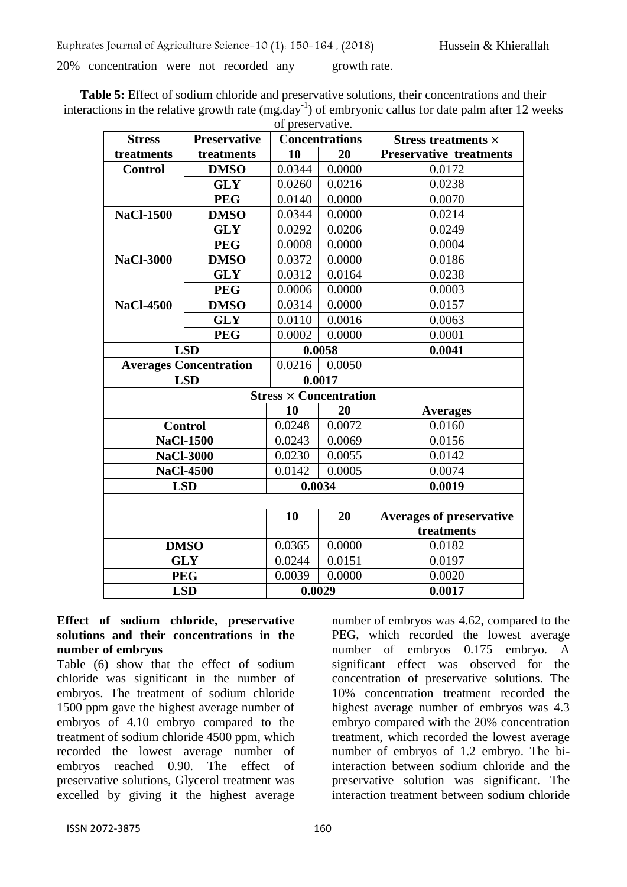20% concentration were not recorded any growth rate.

**Table 5:** Effect of sodium chloride and preservative solutions, their concentrations and their interactions in the relative growth rate  $(mg.day^{-1})$  of embryonic callus for date palm after 12 weeks of preservative.

| <b>Stress</b>    | <b>Preservative</b>           | ur preservan ve. | <b>Concentrations</b>         | Stress treatments $\times$      |
|------------------|-------------------------------|------------------|-------------------------------|---------------------------------|
| treatments       | treatments                    | 10               | 20                            | <b>Preservative treatments</b>  |
| <b>Control</b>   | <b>DMSO</b>                   | 0.0344           | 0.0000                        | 0.0172                          |
|                  | <b>GLY</b>                    | 0.0260           | 0.0216                        | 0.0238                          |
|                  | <b>PEG</b>                    | 0.0140           | 0.0000                        | 0.0070                          |
| <b>NaCl-1500</b> | <b>DMSO</b>                   | 0.0344           | 0.0000                        | 0.0214                          |
|                  | <b>GLY</b>                    | 0.0292           | 0.0206                        | 0.0249                          |
|                  | <b>PEG</b>                    | 0.0008           | 0.0000                        | 0.0004                          |
| <b>NaCl-3000</b> | <b>DMSO</b>                   | 0.0372           | 0.0000                        | 0.0186                          |
|                  | <b>GLY</b>                    | 0.0312           | 0.0164                        | 0.0238                          |
|                  | <b>PEG</b>                    | 0.0006           | 0.0000                        | 0.0003                          |
| <b>NaCl-4500</b> | <b>DMSO</b>                   | 0.0314           | 0.0000                        | 0.0157                          |
|                  | <b>GLY</b>                    | 0.0110           | 0.0016                        | 0.0063                          |
|                  | <b>PEG</b>                    | 0.0002           | 0.0000                        | 0.0001                          |
| <b>LSD</b>       |                               |                  | 0.0058                        | 0.0041                          |
|                  | <b>Averages Concentration</b> | 0.0216           | 0.0050                        |                                 |
|                  | <b>LSD</b>                    |                  | 0.0017                        |                                 |
|                  |                               |                  | $Stress \times Concentration$ |                                 |
|                  |                               | 10               | 20                            | <b>Averages</b>                 |
|                  | <b>Control</b>                | 0.0248           | 0.0072                        | 0.0160                          |
|                  | <b>NaCl-1500</b>              | 0.0243           | 0.0069                        | 0.0156                          |
|                  | <b>NaCl-3000</b>              | 0.0230           | 0.0055                        | 0.0142                          |
|                  | <b>NaCl-4500</b>              | 0.0142           | 0.0005                        | 0.0074                          |
|                  | <b>LSD</b>                    | 0.0034           |                               | 0.0019                          |
|                  |                               |                  |                               |                                 |
|                  |                               | 10               | 20                            | <b>Averages of preservative</b> |
|                  |                               |                  |                               | treatments                      |
| <b>DMSO</b>      |                               | 0.0365           | 0.0000                        | 0.0182                          |
| <b>GLY</b>       |                               | 0.0244           | 0.0151                        | 0.0197                          |
| <b>PEG</b>       |                               | 0.0039           | 0.0000                        | 0.0020                          |
| <b>LSD</b>       |                               |                  | 0.0029                        | 0.0017                          |

#### **Effect of sodium chloride, preservative solutions and their concentrations in the number of embryos**

Table (6) show that the effect of sodium chloride was significant in the number of embryos. The treatment of sodium chloride 1500 ppm gave the highest average number of embryos of 4.10 embryo compared to the treatment of sodium chloride 4500 ppm, which recorded the lowest average number of embryos reached 0.90. The effect of preservative solutions, Glycerol treatment was excelled by giving it the highest average

ISSN 2072-3875 160

number of embryos was 4.62, compared to the PEG, which recorded the lowest average number of embryos 0.175 embryo. A significant effect was observed for the concentration of preservative solutions. The 10% concentration treatment recorded the highest average number of embryos was 4.3 embryo compared with the 20% concentration treatment, which recorded the lowest average number of embryos of 1.2 embryo. The biinteraction between sodium chloride and the preservative solution was significant. The interaction treatment between sodium chloride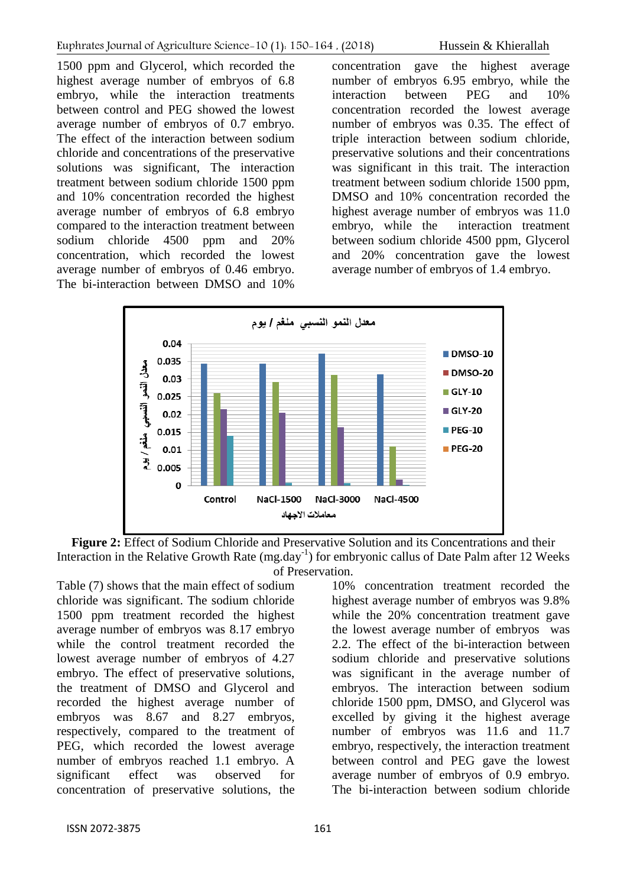1500 ppm and Glycerol, which recorded the highest average number of embryos of 6.8 embryo, while the interaction treatments between control and PEG showed the lowest average number of embryos of 0.7 embryo. The effect of the interaction between sodium chloride and concentrations of the preservative solutions was significant, The interaction treatment between sodium chloride 1500 ppm and 10% concentration recorded the highest average number of embryos of 6.8 embryo compared to the interaction treatment between sodium chloride 4500 ppm and 20% concentration, which recorded the lowest average number of embryos of 0.46 embryo. The bi-interaction between DMSO and 10%

concentration gave the highest average number of embryos 6.95 embryo, while the interaction between PEG and 10% concentration recorded the lowest average number of embryos was 0.35. The effect of triple interaction between sodium chloride, preservative solutions and their concentrations was significant in this trait. The interaction treatment between sodium chloride 1500 ppm, DMSO and 10% concentration recorded the highest average number of embryos was 11.0 embryo, while the interaction treatment between sodium chloride 4500 ppm, Glycerol and 20% concentration gave the lowest average number of embryos of 1.4 embryo.



**Figure 2:** Effect of Sodium Chloride and Preservative Solution and its Concentrations and their Interaction in the Relative Growth Rate (mg.day<sup>-1</sup>) for embryonic callus of Date Palm after 12 Weeks of Preservation.

Table (7) shows that the main effect of sodium chloride was significant. The sodium chloride 1500 ppm treatment recorded the highest average number of embryos was 8.17 embryo while the control treatment recorded the lowest average number of embryos of 4.27 embryo. The effect of preservative solutions, the treatment of DMSO and Glycerol and recorded the highest average number of embryos was 8.67 and 8.27 embryos, respectively, compared to the treatment of PEG, which recorded the lowest average number of embryos reached 1.1 embryo. A significant effect was observed for concentration of preservative solutions, the

sodium chloride and preservative solutions was significant in the average number of embryos. The interaction between sodium chloride 1500 ppm, DMSO, and Glycerol was excelled by giving it the highest average number of embryos was 11.6 and 11.7 embryo, respectively, the interaction treatment between control and PEG gave the lowest average number of embryos of 0.9 embryo. The bi-interaction between sodium chloride

10% concentration treatment recorded the highest average number of embryos was 9.8% while the 20% concentration treatment gave the lowest average number of embryos was 2.2. The effect of the bi-interaction between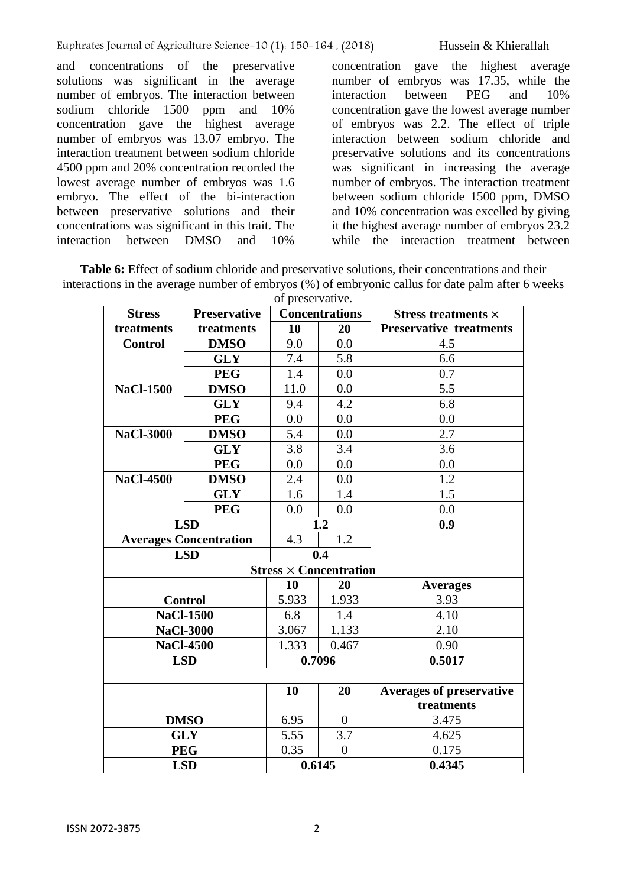and concentrations of the preservative solutions was significant in the average number of embryos. The interaction between sodium chloride 1500 ppm and 10% concentration gave the highest average number of embryos was 13.07 embryo. The interaction treatment between sodium chloride 4500 ppm and 20% concentration recorded the lowest average number of embryos was 1.6 embryo. The effect of the bi-interaction between preservative solutions and their concentrations was significant in this trait. The interaction between DMSO and 10%

concentration gave the highest average number of embryos was 17.35, while the interaction between PEG and 10% concentration gave the lowest average number of embryos was 2.2. The effect of triple interaction between sodium chloride and preservative solutions and its concentrations was significant in increasing the average number of embryos. The interaction treatment between sodium chloride 1500 ppm, DMSO and 10% concentration was excelled by giving it the highest average number of embryos 23.2 while the interaction treatment between

**Table 6:** Effect of sodium chloride and preservative solutions, their concentrations and their interactions in the average number of embryos (%) of embryonic callus for date palm after 6 weeks

| of preservative.              |                     |                       |                               |                                |
|-------------------------------|---------------------|-----------------------|-------------------------------|--------------------------------|
| <b>Stress</b>                 | <b>Preservative</b> | <b>Concentrations</b> |                               | Stress treatments $\times$     |
| treatments                    | treatments          | 10                    | 20                            | <b>Preservative treatments</b> |
| <b>Control</b>                | <b>DMSO</b>         | 9.0                   | 0.0                           | 4.5                            |
|                               | <b>GLY</b>          | 7.4                   | 5.8                           | 6.6                            |
|                               | <b>PEG</b>          | 1.4                   | 0.0                           | 0.7                            |
| <b>NaCl-1500</b>              | <b>DMSO</b>         | 11.0                  | 0.0                           | $\overline{5.5}$               |
|                               | <b>GLY</b>          | 9.4                   | 4.2                           | 6.8                            |
|                               | <b>PEG</b>          | 0.0                   | 0.0                           | 0.0                            |
| <b>NaCl-3000</b>              | <b>DMSO</b>         | 5.4                   | 0.0                           | 2.7                            |
|                               | <b>GLY</b>          | 3.8                   | 3.4                           | 3.6                            |
|                               | <b>PEG</b>          | 0.0                   | 0.0                           | 0.0                            |
| <b>NaCl-4500</b>              | <b>DMSO</b>         | 2.4                   | 0.0                           | 1.2                            |
|                               | <b>GLY</b>          | 1.6                   | 1.4                           | 1.5                            |
|                               | <b>PEG</b>          | 0.0                   | 0.0                           | 0.0                            |
| <b>LSD</b>                    |                     | 1.2                   |                               | 0.9                            |
| <b>Averages Concentration</b> |                     | 4.3                   | 1.2                           |                                |
| <b>LSD</b>                    |                     |                       | 0.4                           |                                |
|                               |                     |                       | $Stress \times Concentration$ |                                |
|                               |                     | 10                    | 20                            | <b>Averages</b>                |
| <b>Control</b>                |                     | 5.933                 | 1.933                         | 3.93                           |
|                               | <b>NaCl-1500</b>    | 6.8                   | 1.4                           | 4.10                           |
|                               | <b>NaCl-3000</b>    | 3.067                 | 1.133                         | 2.10                           |
|                               | <b>NaCl-4500</b>    | 1.333                 | 0.467                         | 0.90                           |
|                               | <b>LSD</b>          | 0.7096                |                               | 0.5017                         |
|                               |                     |                       |                               |                                |
|                               |                     | 10                    | 20                            | Averages of preservative       |
|                               |                     |                       |                               | treatments                     |
| <b>DMSO</b>                   |                     | 6.95                  | $\overline{0}$                | 3.475                          |
| <b>GLY</b>                    |                     | 5.55                  | 3.7                           | 4.625                          |
| <b>PEG</b>                    |                     | 0.35                  | $\overline{0}$                | 0.175                          |
| <b>LSD</b>                    |                     | 0.6145                |                               | 0.4345                         |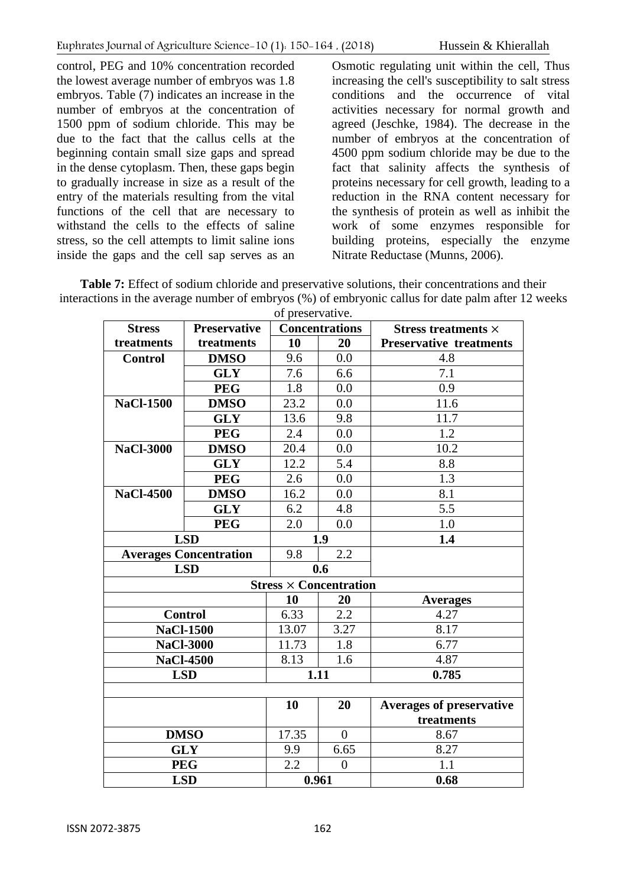control, PEG and 10% concentration recorded the lowest average number of embryos was 1.8 embryos. Table (7) indicates an increase in the number of embryos at the concentration of 1500 ppm of sodium chloride. This may be due to the fact that the callus cells at the beginning contain small size gaps and spread in the dense cytoplasm. Then, these gaps begin to gradually increase in size as a result of the entry of the materials resulting from the vital functions of the cell that are necessary to withstand the cells to the effects of saline stress, so the cell attempts to limit saline ions inside the gaps and the cell sap serves as an Osmotic regulating unit within the cell, Thus increasing the cell's susceptibility to salt stress conditions and the occurrence of vital activities necessary for normal growth and agreed (Jeschke, 1984). The decrease in the number of embryos at the concentration of 4500 ppm sodium chloride may be due to the fact that salinity affects the synthesis of proteins necessary for cell growth, leading to a reduction in the RNA content necessary for the synthesis of protein as well as inhibit the work of some enzymes responsible for building proteins, especially the enzyme Nitrate Reductase (Munns, 2006).

**Table 7:** Effect of sodium chloride and preservative solutions, their concentrations and their interactions in the average number of embryos (%) of embryonic callus for date palm after 12 weeks

| of preservative. |                               |                       |                               |                                 |
|------------------|-------------------------------|-----------------------|-------------------------------|---------------------------------|
| <b>Stress</b>    | <b>Preservative</b>           | <b>Concentrations</b> |                               | Stress treatments $\times$      |
| treatments       | treatments                    | 10                    | 20                            | <b>Preservative treatments</b>  |
| <b>Control</b>   | <b>DMSO</b>                   | 9.6                   | 0.0                           | 4.8                             |
|                  | <b>GLY</b>                    | 7.6                   | 6.6                           | 7.1                             |
|                  | <b>PEG</b>                    | 1.8                   | 0.0                           | 0.9                             |
| <b>NaCl-1500</b> | <b>DMSO</b>                   | 23.2                  | 0.0                           | 11.6                            |
|                  | <b>GLY</b>                    | 13.6                  | 9.8                           | 11.7                            |
|                  | <b>PEG</b>                    | 2.4                   | 0.0                           | 1.2                             |
| <b>NaCl-3000</b> | <b>DMSO</b>                   | 20.4                  | 0.0                           | 10.2                            |
|                  | <b>GLY</b>                    | 12.2                  | 5.4                           | 8.8                             |
|                  | <b>PEG</b>                    | 2.6                   | 0.0                           | 1.3                             |
| <b>NaCl-4500</b> | <b>DMSO</b>                   | 16.2                  | 0.0                           | 8.1                             |
|                  | <b>GLY</b>                    | 6.2                   | 4.8                           | 5.5                             |
|                  | <b>PEG</b>                    | 2.0                   | 0.0                           | 1.0                             |
|                  | <b>LSD</b>                    | 1.9                   |                               | 1.4                             |
|                  | <b>Averages Concentration</b> | 9.8                   | 2.2                           |                                 |
| <b>LSD</b>       |                               |                       | 0.6                           |                                 |
|                  |                               |                       | $Stress \times Concentration$ |                                 |
|                  |                               | 10                    | 20                            | <b>Averages</b>                 |
|                  | <b>Control</b>                | 6.33                  | 2.2                           | 4.27                            |
|                  | <b>NaCl-1500</b>              | 13.07                 | 3.27                          | 8.17                            |
|                  | <b>NaCl-3000</b>              | 11.73                 | 1.8                           | 6.77                            |
|                  | <b>NaCl-4500</b>              | 8.13                  | 1.6                           | 4.87                            |
|                  | <b>LSD</b>                    | 1.11                  |                               | 0.785                           |
|                  |                               |                       |                               |                                 |
|                  |                               | 10                    | 20                            | <b>Averages of preservative</b> |
|                  |                               |                       |                               | treatments                      |
| <b>DMSO</b>      |                               | 17.35                 | $\overline{0}$                | 8.67                            |
| <b>GLY</b>       |                               | 9.9                   | 6.65                          | 8.27                            |
| <b>PEG</b>       |                               | 2.2                   | $\overline{0}$                | 1.1                             |
| <b>LSD</b>       |                               | 0.961                 |                               | 0.68                            |